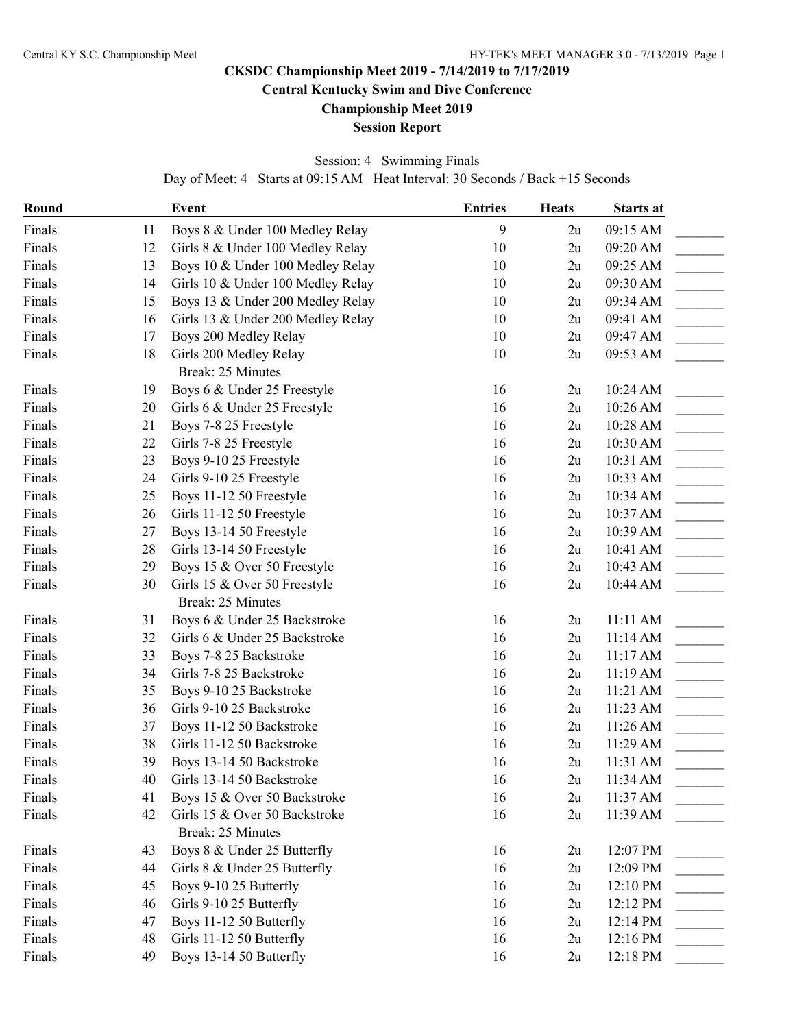# **CKSDC Championship Meet 2019 - 7/14/2019 to 7/17/2019 Central Kentucky Swim and Dive Conference**

**Championship Meet 2019**

## **Session Report**

## Session: 4 Swimming Finals

Day of Meet: 4 Starts at 09:15 AM Heat Interval: 30 Seconds / Back +15 Seconds

| Round  |    | <b>Event</b>                                              | <b>Entries</b> | <b>Heats</b> | <b>Starts at</b> |  |
|--------|----|-----------------------------------------------------------|----------------|--------------|------------------|--|
| Finals | 11 | Boys 8 & Under 100 Medley Relay                           | 9              | 2u           | 09:15 AM         |  |
| Finals | 12 | Girls 8 & Under 100 Medley Relay                          | 10             | 2u           | 09:20 AM         |  |
| Finals | 13 | Boys 10 & Under 100 Medley Relay                          | 10             | 2u           | 09:25 AM         |  |
| Finals | 14 | Girls 10 & Under 100 Medley Relay                         | 10             | 2u           | 09:30 AM         |  |
| Finals | 15 | Boys 13 & Under 200 Medley Relay                          | 10             | 2u           | 09:34 AM         |  |
| Finals | 16 | Girls 13 & Under 200 Medley Relay                         | 10             | 2u           | 09:41 AM         |  |
| Finals | 17 | Boys 200 Medley Relay                                     | 10             | 2u           | 09:47 AM         |  |
| Finals | 18 | Girls 200 Medley Relay<br><b>Break: 25 Minutes</b>        | 10             | 2u           | 09:53 AM         |  |
| Finals | 19 | Boys 6 & Under 25 Freestyle                               | 16             | 2u           | 10:24 AM         |  |
| Finals | 20 | Girls 6 & Under 25 Freestyle                              | 16             | 2u           | 10:26 AM         |  |
| Finals | 21 | Boys 7-8 25 Freestyle                                     | 16             | 2u           | 10:28 AM         |  |
| Finals | 22 | Girls 7-8 25 Freestyle                                    | 16             | 2u           | 10:30 AM         |  |
| Finals | 23 | Boys 9-10 25 Freestyle                                    | 16             | 2u           | 10:31 AM         |  |
| Finals | 24 | Girls 9-10 25 Freestyle                                   | 16             | 2u           | 10:33 AM         |  |
| Finals | 25 | Boys 11-12 50 Freestyle                                   | 16             | 2u           | 10:34 AM         |  |
| Finals | 26 | Girls 11-12 50 Freestyle                                  | 16             | 2u           | 10:37 AM         |  |
| Finals | 27 | Boys 13-14 50 Freestyle                                   | 16             | 2u           | 10:39 AM         |  |
| Finals | 28 | Girls 13-14 50 Freestyle                                  | 16             | 2u           | 10:41 AM         |  |
| Finals | 29 | Boys 15 & Over 50 Freestyle                               | 16             | 2u           | 10:43 AM         |  |
| Finals | 30 | Girls 15 & Over 50 Freestyle                              | 16             | 2u           | 10:44 AM         |  |
|        |    | Break: 25 Minutes                                         |                |              |                  |  |
| Finals | 31 | Boys 6 & Under 25 Backstroke                              | 16             | 2u           | 11:11 AM         |  |
| Finals | 32 | Girls 6 & Under 25 Backstroke                             | 16             | 2u           | 11:14 AM         |  |
| Finals | 33 | Boys 7-8 25 Backstroke                                    | 16             | 2u           | 11:17AM          |  |
| Finals | 34 | Girls 7-8 25 Backstroke                                   | 16             | 2u           | 11:19 AM         |  |
| Finals | 35 | Boys 9-10 25 Backstroke                                   | 16             | 2u           | 11:21 AM         |  |
| Finals | 36 | Girls 9-10 25 Backstroke                                  | 16             | 2u           | 11:23 AM         |  |
| Finals | 37 | Boys 11-12 50 Backstroke                                  | 16             | 2u           | 11:26 AM         |  |
| Finals | 38 | Girls 11-12 50 Backstroke                                 | 16             | 2u           | 11:29 AM         |  |
| Finals | 39 | Boys 13-14 50 Backstroke                                  | 16             | 2u           | 11:31 AM         |  |
| Finals | 40 | Girls 13-14 50 Backstroke                                 | 16             | 2u           | 11:34 AM         |  |
| Finals | 41 | Boys 15 & Over 50 Backstroke                              | 16             | 2u           | 11:37 AM         |  |
| Finals | 42 | Girls 15 & Over 50 Backstroke<br><b>Break: 25 Minutes</b> | 16             | 2u           | 11:39 AM         |  |
| Finals | 43 | Boys 8 & Under 25 Butterfly                               | 16             | 2u           | 12:07 PM         |  |
| Finals | 44 | Girls 8 & Under 25 Butterfly                              | 16             | 2u           | 12:09 PM         |  |
| Finals | 45 | Boys 9-10 25 Butterfly                                    | 16             | 2u           | 12:10 PM         |  |
| Finals | 46 | Girls 9-10 25 Butterfly                                   | 16             | 2u           | 12:12 PM         |  |
| Finals | 47 | Boys 11-12 50 Butterfly                                   | 16             | 2u           | 12:14 PM         |  |
| Finals | 48 | Girls 11-12 50 Butterfly                                  | 16             | 2u           | 12:16 PM         |  |
| Finals | 49 | Boys 13-14 50 Butterfly                                   | 16             | 2u           | 12:18 PM         |  |